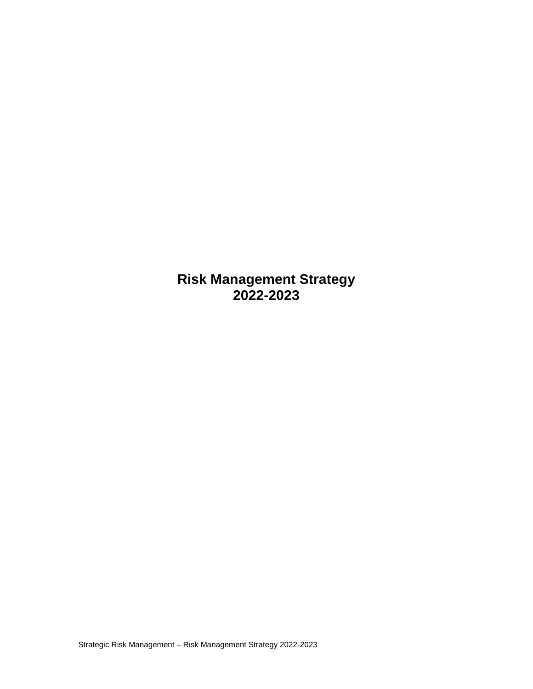**Risk Management Strategy 2022-2023**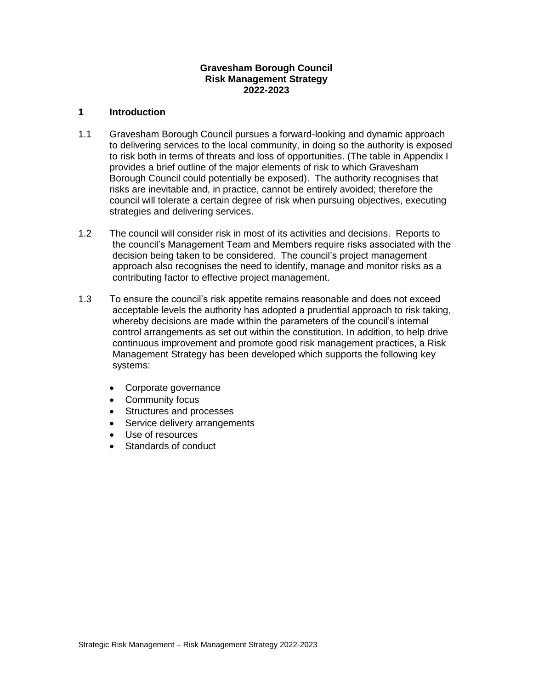## **Gravesham Borough Council Risk Management Strategy 2022-2023**

## **1 Introduction**

- 1.1 Gravesham Borough Council pursues a forward-looking and dynamic approach to delivering services to the local community, in doing so the authority is exposed to risk both in terms of threats and loss of opportunities. (The table in Appendix I provides a brief outline of the major elements of risk to which Gravesham Borough Council could potentially be exposed). The authority recognises that risks are inevitable and, in practice, cannot be entirely avoided; therefore the council will tolerate a certain degree of risk when pursuing objectives, executing strategies and delivering services.
- 1.2 The council will consider risk in most of its activities and decisions. Reports to the council's Management Team and Members require risks associated with the decision being taken to be considered. The council's project management approach also recognises the need to identify, manage and monitor risks as a contributing factor to effective project management.
- 1.3 To ensure the council's risk appetite remains reasonable and does not exceed acceptable levels the authority has adopted a prudential approach to risk taking, whereby decisions are made within the parameters of the council's internal control arrangements as set out within the constitution. In addition, to help drive continuous improvement and promote good risk management practices, a Risk Management Strategy has been developed which supports the following key systems:
	- Corporate governance
	- Community focus
	- Structures and processes
	- Service delivery arrangements
	- Use of resources
	- Standards of conduct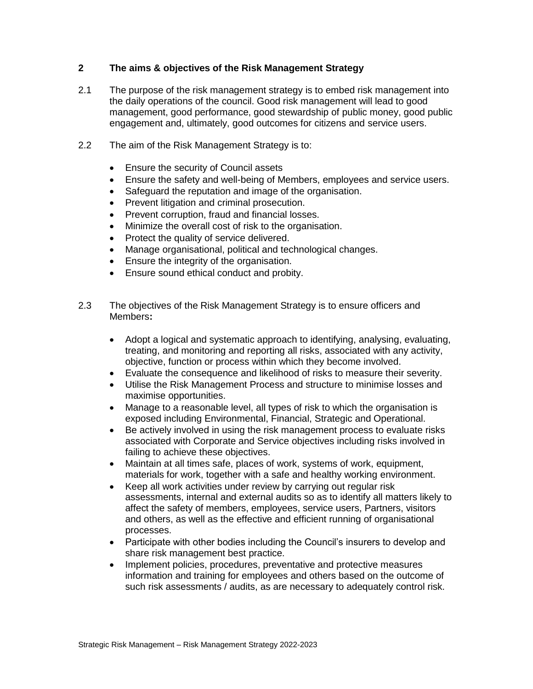## **2 The aims & objectives of the Risk Management Strategy**

- 2.1 The purpose of the risk management strategy is to embed risk management into the daily operations of the council. Good risk management will lead to good management, good performance, good stewardship of public money, good public engagement and, ultimately, good outcomes for citizens and service users.
- 2.2 The aim of the Risk Management Strategy is to:
	- Ensure the security of Council assets
	- Ensure the safety and well-being of Members, employees and service users.
	- Safeguard the reputation and image of the organisation.
	- Prevent litigation and criminal prosecution.
	- Prevent corruption, fraud and financial losses.
	- Minimize the overall cost of risk to the organisation.
	- Protect the quality of service delivered.
	- Manage organisational, political and technological changes.
	- **Ensure the integrity of the organisation.**
	- Ensure sound ethical conduct and probity.
- 2.3 The objectives of the Risk Management Strategy is to ensure officers and Members**:**
	- Adopt a logical and systematic approach to identifying, analysing, evaluating, treating, and monitoring and reporting all risks, associated with any activity, objective, function or process within which they become involved.
	- Evaluate the consequence and likelihood of risks to measure their severity.
	- Utilise the Risk Management Process and structure to minimise losses and maximise opportunities.
	- Manage to a reasonable level, all types of risk to which the organisation is exposed including Environmental, Financial, Strategic and Operational.
	- Be actively involved in using the risk management process to evaluate risks associated with Corporate and Service objectives including risks involved in failing to achieve these objectives.
	- Maintain at all times safe, places of work, systems of work, equipment, materials for work, together with a safe and healthy working environment.
	- Keep all work activities under review by carrying out regular risk assessments, internal and external audits so as to identify all matters likely to affect the safety of members, employees, service users, Partners, visitors and others, as well as the effective and efficient running of organisational processes.
	- Participate with other bodies including the Council's insurers to develop and share risk management best practice.
	- Implement policies, procedures, preventative and protective measures information and training for employees and others based on the outcome of such risk assessments / audits, as are necessary to adequately control risk.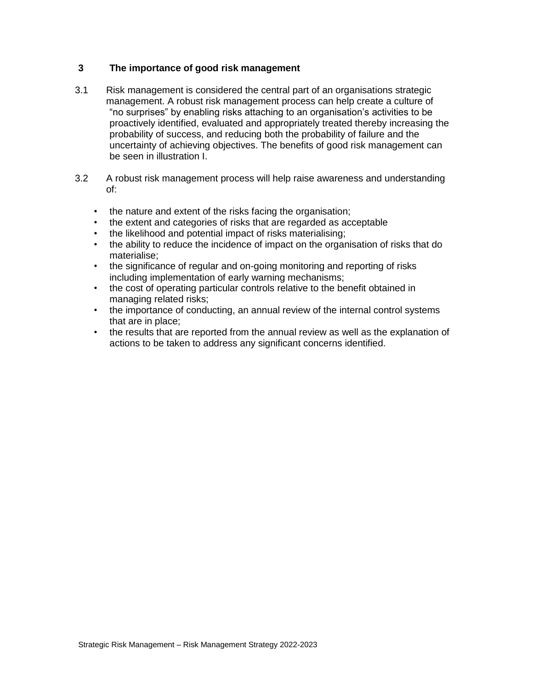## **3 The importance of good risk management**

- 3.1 Risk management is considered the central part of an organisations strategic management. A robust risk management process can help create a culture of "no surprises" by enabling risks attaching to an organisation's activities to be proactively identified, evaluated and appropriately treated thereby increasing the probability of success, and reducing both the probability of failure and the uncertainty of achieving objectives. The benefits of good risk management can be seen in illustration I.
- 3.2 A robust risk management process will help raise awareness and understanding of:
	- the nature and extent of the risks facing the organisation;
	- the extent and categories of risks that are regarded as acceptable
	- the likelihood and potential impact of risks materialising;
	- the ability to reduce the incidence of impact on the organisation of risks that do materialise;
	- the significance of regular and on-going monitoring and reporting of risks including implementation of early warning mechanisms;
	- the cost of operating particular controls relative to the benefit obtained in managing related risks;
	- the importance of conducting, an annual review of the internal control systems that are in place;
	- the results that are reported from the annual review as well as the explanation of actions to be taken to address any significant concerns identified.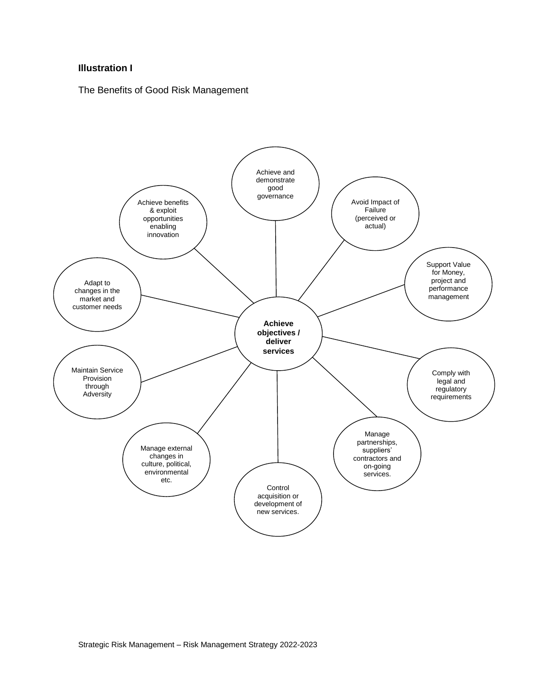## **Illustration I**

The Benefits of Good Risk Management

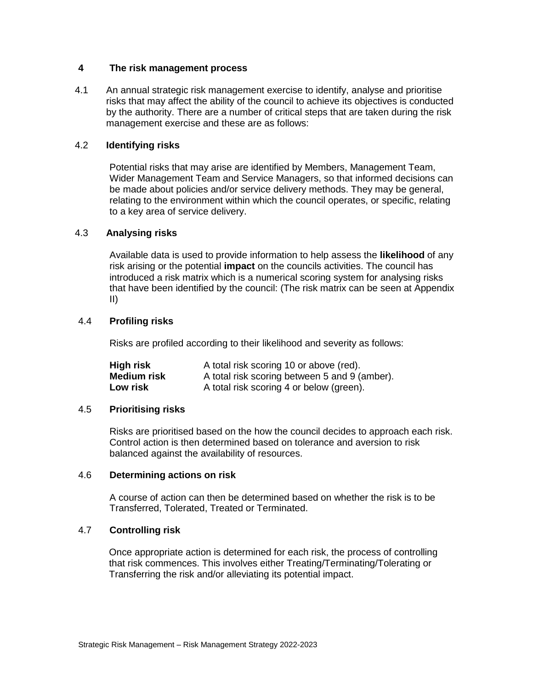## **4 The risk management process**

4.1 An annual strategic risk management exercise to identify, analyse and prioritise risks that may affect the ability of the council to achieve its objectives is conducted by the authority. There are a number of critical steps that are taken during the risk management exercise and these are as follows:

## 4.2 **Identifying risks**

Potential risks that may arise are identified by Members, Management Team, Wider Management Team and Service Managers, so that informed decisions can be made about policies and/or service delivery methods. They may be general, relating to the environment within which the council operates, or specific, relating to a key area of service delivery.

## 4.3 **Analysing risks**

Available data is used to provide information to help assess the **likelihood** of any risk arising or the potential **impact** on the councils activities. The council has introduced a risk matrix which is a numerical scoring system for analysing risks that have been identified by the council: (The risk matrix can be seen at Appendix II)

## 4.4 **Profiling risks**

Risks are profiled according to their likelihood and severity as follows:

| High risk   | A total risk scoring 10 or above (red).       |
|-------------|-----------------------------------------------|
| Medium risk | A total risk scoring between 5 and 9 (amber). |
| Low risk    | A total risk scoring 4 or below (green).      |

#### 4.5 **Prioritising risks**

Risks are prioritised based on the how the council decides to approach each risk. Control action is then determined based on tolerance and aversion to risk balanced against the availability of resources.

#### 4.6 **Determining actions on risk**

 A course of action can then be determined based on whether the risk is to be Transferred, Tolerated, Treated or Terminated.

#### 4.7 **Controlling risk**

 Once appropriate action is determined for each risk, the process of controlling that risk commences. This involves either Treating/Terminating/Tolerating or Transferring the risk and/or alleviating its potential impact.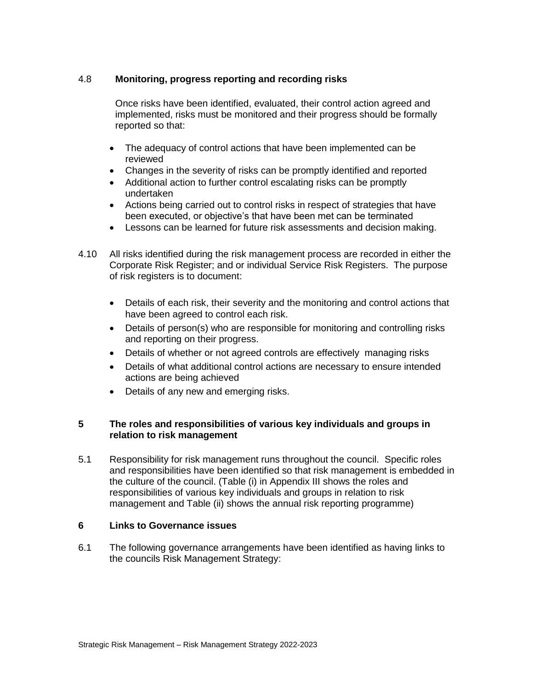## 4.8 **Monitoring, progress reporting and recording risks**

Once risks have been identified, evaluated, their control action agreed and implemented, risks must be monitored and their progress should be formally reported so that:

- The adequacy of control actions that have been implemented can be reviewed
- Changes in the severity of risks can be promptly identified and reported
- Additional action to further control escalating risks can be promptly undertaken
- Actions being carried out to control risks in respect of strategies that have been executed, or objective's that have been met can be terminated
- Lessons can be learned for future risk assessments and decision making.
- 4.10 All risks identified during the risk management process are recorded in either the Corporate Risk Register; and or individual Service Risk Registers. The purpose of risk registers is to document:
	- Details of each risk, their severity and the monitoring and control actions that have been agreed to control each risk.
	- Details of person(s) who are responsible for monitoring and controlling risks and reporting on their progress.
	- Details of whether or not agreed controls are effectively managing risks
	- Details of what additional control actions are necessary to ensure intended actions are being achieved
	- Details of any new and emerging risks.

## **5 The roles and responsibilities of various key individuals and groups in relation to risk management**

5.1 Responsibility for risk management runs throughout the council. Specific roles and responsibilities have been identified so that risk management is embedded in the culture of the council. (Table (i) in Appendix III shows the roles and responsibilities of various key individuals and groups in relation to risk management and Table (ii) shows the annual risk reporting programme)

#### **6 Links to Governance issues**

6.1 The following governance arrangements have been identified as having links to the councils Risk Management Strategy: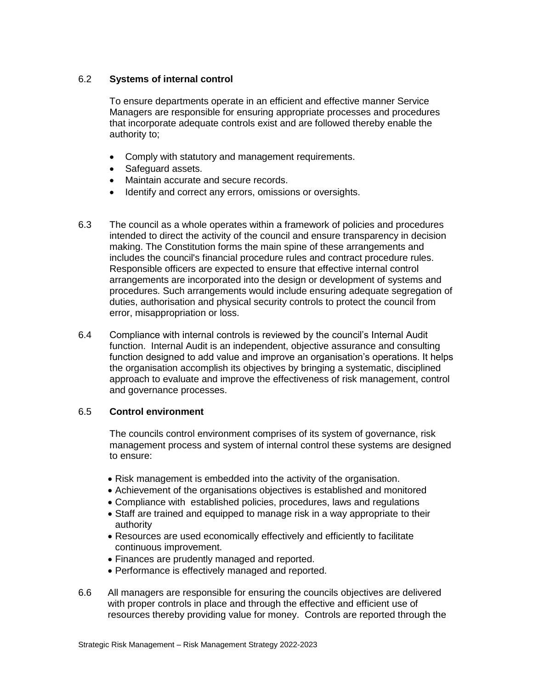## 6.2 **Systems of internal control**

To ensure departments operate in an efficient and effective manner Service Managers are responsible for ensuring appropriate processes and procedures that incorporate adequate controls exist and are followed thereby enable the authority to;

- Comply with statutory and management requirements.
- Safeguard assets.
- Maintain accurate and secure records.
- Identify and correct any errors, omissions or oversights.
- 6.3 The council as a whole operates within a framework of policies and procedures intended to direct the activity of the council and ensure transparency in decision making. The Constitution forms the main spine of these arrangements and includes the council's financial procedure rules and contract procedure rules. Responsible officers are expected to ensure that effective internal control arrangements are incorporated into the design or development of systems and procedures. Such arrangements would include ensuring adequate segregation of duties, authorisation and physical security controls to protect the council from error, misappropriation or loss.
- 6.4 Compliance with internal controls is reviewed by the council's Internal Audit function. Internal Audit is an independent, objective assurance and consulting function designed to add value and improve an organisation's operations. It helps the organisation accomplish its objectives by bringing a systematic, disciplined approach to evaluate and improve the effectiveness of risk management, control and governance processes.

#### 6.5 **Control environment**

The councils control environment comprises of its system of governance, risk management process and system of internal control these systems are designed to ensure:

- Risk management is embedded into the activity of the organisation.
- Achievement of the organisations objectives is established and monitored
- Compliance with established policies, procedures, laws and regulations
- Staff are trained and equipped to manage risk in a way appropriate to their authority
- Resources are used economically effectively and efficiently to facilitate continuous improvement.
- Finances are prudently managed and reported.
- Performance is effectively managed and reported.
- 6.6 All managers are responsible for ensuring the councils objectives are delivered with proper controls in place and through the effective and efficient use of resources thereby providing value for money. Controls are reported through the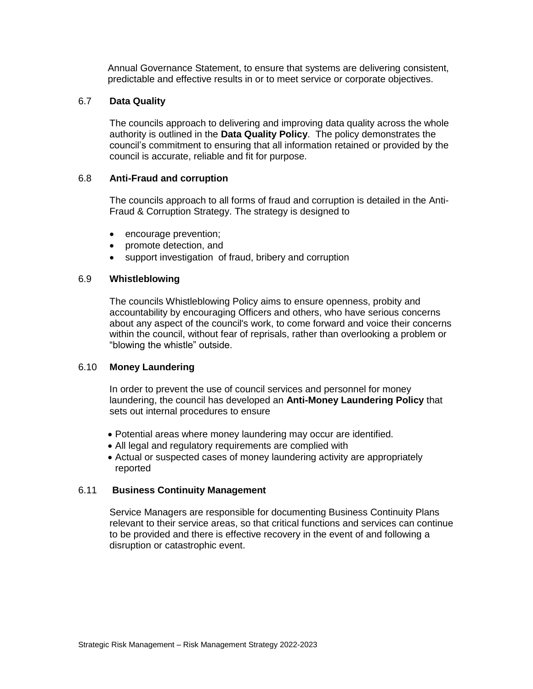Annual Governance Statement, to ensure that systems are delivering consistent, predictable and effective results in or to meet service or corporate objectives.

## 6.7 **Data Quality**

 The councils approach to delivering and improving data quality across the whole authority is outlined in the **Data Quality Policy**. The policy demonstrates the council's commitment to ensuring that all information retained or provided by the council is accurate, reliable and fit for purpose.

#### 6.8 **Anti-Fraud and corruption**

The councils approach to all forms of fraud and corruption is detailed in the Anti-Fraud & Corruption Strategy. The strategy is designed to

- encourage prevention;
- promote detection, and
- support investigation of fraud, bribery and corruption

#### 6.9 **Whistleblowing**

The councils Whistleblowing Policy aims to ensure openness, probity and accountability by encouraging Officers and others, who have serious concerns about any aspect of the council's work, to come forward and voice their concerns within the council, without fear of reprisals, rather than overlooking a problem or "blowing the whistle" outside.

#### 6.10 **Money Laundering**

In order to prevent the use of council services and personnel for money laundering, the council has developed an **Anti-Money Laundering Policy** that sets out internal procedures to ensure

- Potential areas where money laundering may occur are identified.
- All legal and regulatory requirements are complied with
- Actual or suspected cases of money laundering activity are appropriately reported

#### 6.11 **Business Continuity Management**

Service Managers are responsible for documenting Business Continuity Plans relevant to their service areas, so that critical functions and services can continue to be provided and there is effective recovery in the event of and following a disruption or catastrophic event.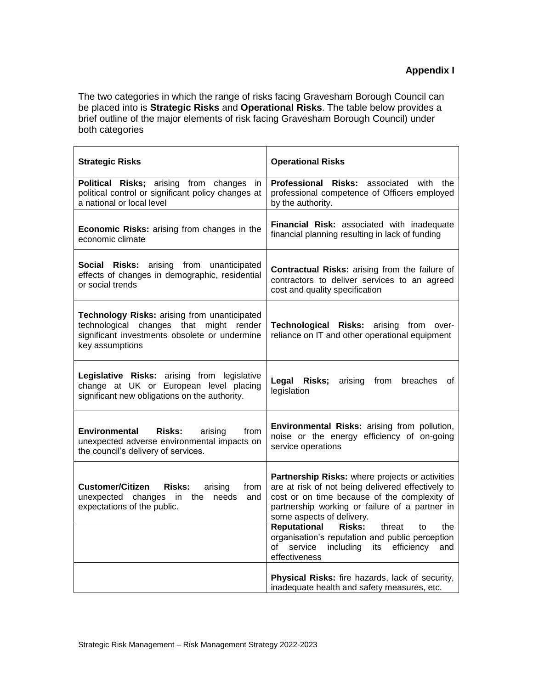The two categories in which the range of risks facing Gravesham Borough Council can be placed into is **Strategic Risks** and **Operational Risks**. The table below provides a brief outline of the major elements of risk facing Gravesham Borough Council) under both categories

| <b>Strategic Risks</b>                                                                                                                                      | <b>Operational Risks</b>                                                                                                                                                                                                            |
|-------------------------------------------------------------------------------------------------------------------------------------------------------------|-------------------------------------------------------------------------------------------------------------------------------------------------------------------------------------------------------------------------------------|
| Political Risks; arising from changes in<br>political control or significant policy changes at<br>a national or local level                                 | Professional Risks: associated with the<br>professional competence of Officers employed<br>by the authority.                                                                                                                        |
| Economic Risks: arising from changes in the<br>economic climate                                                                                             | Financial Risk: associated with inadequate<br>financial planning resulting in lack of funding                                                                                                                                       |
| Social Risks: arising from unanticipated<br>effects of changes in demographic, residential<br>or social trends                                              | Contractual Risks: arising from the failure of<br>contractors to deliver services to an agreed<br>cost and quality specification                                                                                                    |
| Technology Risks: arising from unanticipated<br>technological changes that might render<br>significant investments obsolete or undermine<br>key assumptions | Technological Risks: arising from over-<br>reliance on IT and other operational equipment                                                                                                                                           |
| Legislative Risks: arising from legislative<br>change at UK or European level placing<br>significant new obligations on the authority.                      | Legal Risks;<br>arising from<br>breaches<br>of<br>legislation                                                                                                                                                                       |
| <b>Environmental</b><br><b>Risks:</b><br>arising<br>from<br>unexpected adverse environmental impacts on<br>the council's delivery of services.              | Environmental Risks: arising from pollution,<br>noise or the energy efficiency of on-going<br>service operations                                                                                                                    |
| <b>Customer/Citizen</b><br><b>Risks:</b><br>arising<br>from<br>unexpected changes in the needs<br>and<br>expectations of the public.                        | Partnership Risks: where projects or activities<br>are at risk of not being delivered effectively to<br>cost or on time because of the complexity of<br>partnership working or failure of a partner in<br>some aspects of delivery. |
|                                                                                                                                                             | Reputational<br><b>Risks:</b><br>threat<br>the<br>to<br>organisation's reputation and public perception<br>service<br>including<br>its<br>of<br>efficiency<br>and<br>effectiveness                                                  |
|                                                                                                                                                             | Physical Risks: fire hazards, lack of security,<br>inadequate health and safety measures, etc.                                                                                                                                      |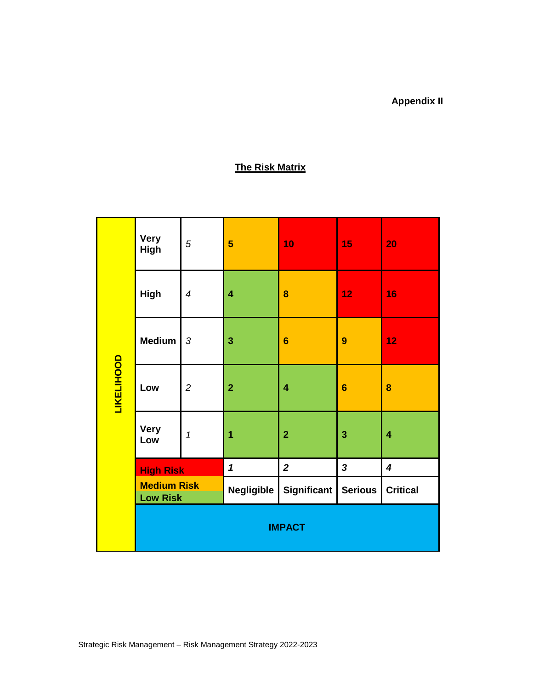## **Appendix II**

## **The Risk Matrix**

|                                       | <b>Very</b><br>High | $\sqrt{5}$               | 5                       | 10                      | 15               | 20                      |
|---------------------------------------|---------------------|--------------------------|-------------------------|-------------------------|------------------|-------------------------|
| <b>LIKELIHOOD</b>                     | High                | $\overline{\mathcal{A}}$ | $\overline{\mathbf{4}}$ | 8                       | 12               | 16                      |
|                                       | <b>Medium</b>       | $\sqrt{3}$               | 3                       | $6\phantom{1}6$         | $\boldsymbol{9}$ | 12                      |
|                                       | Low                 | $\overline{c}$           | $\overline{2}$          | $\overline{\mathbf{4}}$ | $6\phantom{1}6$  | 8                       |
|                                       | <b>Very</b><br>Low  | 1                        | 1                       | $\overline{2}$          | 3                | 4                       |
|                                       | <b>High Risk</b>    |                          | $\mathbf{1}$            | $\overline{2}$          | $\mathbf{3}$     | $\overline{\mathbf{4}}$ |
| <b>Medium Risk</b><br><b>Low Risk</b> |                     |                          | <b>Negligible</b>       | Significant             | <b>Serious</b>   | <b>Critical</b>         |
|                                       | <b>IMPACT</b>       |                          |                         |                         |                  |                         |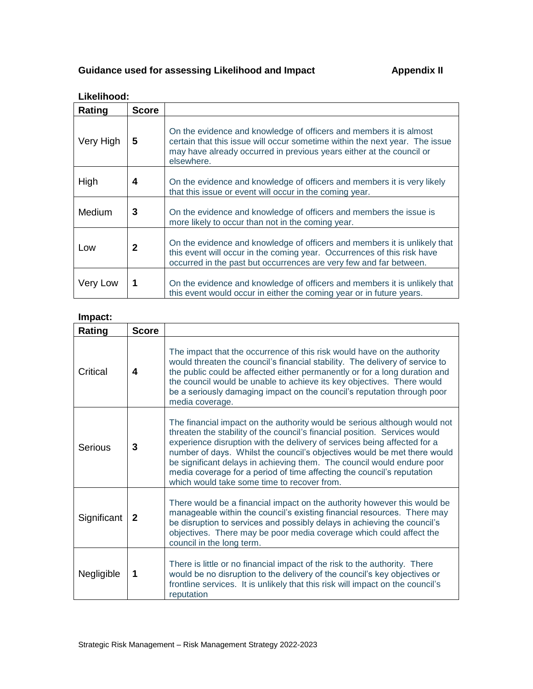## Guidance used for assessing Likelihood and Impact **Appendix II**

| Likelihood: |              |                                                                                                                                                                                                                                         |  |  |  |
|-------------|--------------|-----------------------------------------------------------------------------------------------------------------------------------------------------------------------------------------------------------------------------------------|--|--|--|
| Rating      | <b>Score</b> |                                                                                                                                                                                                                                         |  |  |  |
| Very High   | 5            | On the evidence and knowledge of officers and members it is almost<br>certain that this issue will occur sometime within the next year. The issue<br>may have already occurred in previous years either at the council or<br>elsewhere. |  |  |  |
| High        | 4            | On the evidence and knowledge of officers and members it is very likely<br>that this issue or event will occur in the coming year.                                                                                                      |  |  |  |
| Medium      | 3            | On the evidence and knowledge of officers and members the issue is<br>more likely to occur than not in the coming year.                                                                                                                 |  |  |  |
| Low         | $\mathbf{2}$ | On the evidence and knowledge of officers and members it is unlikely that<br>this event will occur in the coming year. Occurrences of this risk have<br>occurred in the past but occurrences are very few and far between.              |  |  |  |
| Very Low    | 1            | On the evidence and knowledge of officers and members it is unlikely that<br>this event would occur in either the coming year or in future years.                                                                                       |  |  |  |

#### **Impact:**

| Rating      | <b>Score</b> |                                                                                                                                                                                                                                                                                                                                                                                                                                                                                                                    |
|-------------|--------------|--------------------------------------------------------------------------------------------------------------------------------------------------------------------------------------------------------------------------------------------------------------------------------------------------------------------------------------------------------------------------------------------------------------------------------------------------------------------------------------------------------------------|
| Critical    | 4            | The impact that the occurrence of this risk would have on the authority<br>would threaten the council's financial stability. The delivery of service to<br>the public could be affected either permanently or for a long duration and<br>the council would be unable to achieve its key objectives. There would<br>be a seriously damaging impact on the council's reputation through poor<br>media coverage.                                                                                                      |
| Serious     | 3            | The financial impact on the authority would be serious although would not<br>threaten the stability of the council's financial position. Services would<br>experience disruption with the delivery of services being affected for a<br>number of days. Whilst the council's objectives would be met there would<br>be significant delays in achieving them. The council would endure poor<br>media coverage for a period of time affecting the council's reputation<br>which would take some time to recover from. |
| Significant | 2            | There would be a financial impact on the authority however this would be<br>manageable within the council's existing financial resources. There may<br>be disruption to services and possibly delays in achieving the council's<br>objectives. There may be poor media coverage which could affect the<br>council in the long term.                                                                                                                                                                                |
| Negligible  | 1            | There is little or no financial impact of the risk to the authority. There<br>would be no disruption to the delivery of the council's key objectives or<br>frontline services. It is unlikely that this risk will impact on the council's<br>reputation                                                                                                                                                                                                                                                            |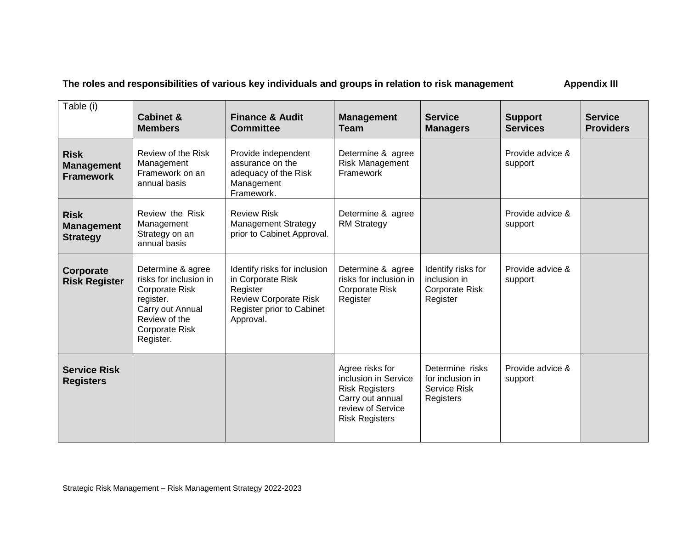**The roles and responsibilities of various key individuals and groups in relation to risk management Appendix III**

| Table (i)                                            | <b>Cabinet &amp;</b><br><b>Members</b>                                                                                                                       | <b>Finance &amp; Audit</b><br><b>Committee</b>                                                                                          | <b>Management</b><br><b>Team</b>                                                                                                   | <b>Service</b><br><b>Managers</b>                                       | <b>Support</b><br><b>Services</b> | <b>Service</b><br><b>Providers</b> |
|------------------------------------------------------|--------------------------------------------------------------------------------------------------------------------------------------------------------------|-----------------------------------------------------------------------------------------------------------------------------------------|------------------------------------------------------------------------------------------------------------------------------------|-------------------------------------------------------------------------|-----------------------------------|------------------------------------|
| <b>Risk</b><br><b>Management</b><br><b>Framework</b> | Review of the Risk<br>Management<br>Framework on an<br>annual basis                                                                                          | Provide independent<br>assurance on the<br>adequacy of the Risk<br>Management<br>Framework.                                             | Determine & agree<br>Risk Management<br>Framework                                                                                  |                                                                         | Provide advice &<br>support       |                                    |
| <b>Risk</b><br><b>Management</b><br><b>Strategy</b>  | Review the Risk<br>Management<br>Strategy on an<br>annual basis                                                                                              | <b>Review Risk</b><br><b>Management Strategy</b><br>prior to Cabinet Approval.                                                          | Determine & agree<br><b>RM Strategy</b>                                                                                            |                                                                         | Provide advice &<br>support       |                                    |
| Corporate<br><b>Risk Register</b>                    | Determine & agree<br>risks for inclusion in<br><b>Corporate Risk</b><br>register.<br>Carry out Annual<br>Review of the<br><b>Corporate Risk</b><br>Register. | Identify risks for inclusion<br>in Corporate Risk<br>Register<br><b>Review Corporate Risk</b><br>Register prior to Cabinet<br>Approval. | Determine & agree<br>risks for inclusion in<br><b>Corporate Risk</b><br>Register                                                   | Identify risks for<br>inclusion in<br><b>Corporate Risk</b><br>Register | Provide advice &<br>support       |                                    |
| <b>Service Risk</b><br><b>Registers</b>              |                                                                                                                                                              |                                                                                                                                         | Agree risks for<br>inclusion in Service<br><b>Risk Registers</b><br>Carry out annual<br>review of Service<br><b>Risk Registers</b> | Determine risks<br>for inclusion in<br><b>Service Risk</b><br>Registers | Provide advice &<br>support       |                                    |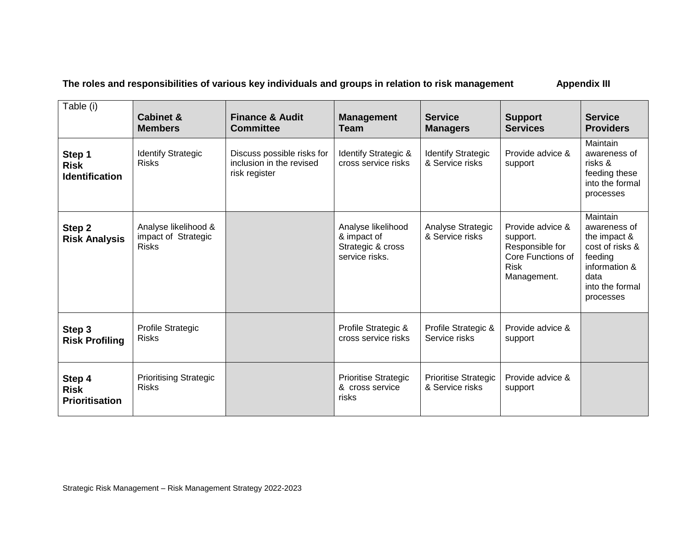The roles and responsibilities of various key individuals and groups in relation to risk management **Appendix III** 

| Table (i)                                      | <b>Cabinet &amp;</b><br><b>Members</b>                      | <b>Finance &amp; Audit</b><br><b>Committee</b>                          | <b>Management</b><br><b>Team</b>                                         | <b>Service</b><br><b>Managers</b>              | <b>Support</b><br><b>Services</b>                                                                  | <b>Service</b><br><b>Providers</b>                                                                                              |
|------------------------------------------------|-------------------------------------------------------------|-------------------------------------------------------------------------|--------------------------------------------------------------------------|------------------------------------------------|----------------------------------------------------------------------------------------------------|---------------------------------------------------------------------------------------------------------------------------------|
| Step 1<br><b>Risk</b><br><b>Identification</b> | <b>Identify Strategic</b><br><b>Risks</b>                   | Discuss possible risks for<br>inclusion in the revised<br>risk register | Identify Strategic &<br>cross service risks                              | <b>Identify Strategic</b><br>& Service risks   | Provide advice &<br>support                                                                        | Maintain<br>awareness of<br>risks &<br>feeding these<br>into the formal<br>processes                                            |
| Step 2<br><b>Risk Analysis</b>                 | Analyse likelihood &<br>impact of Strategic<br><b>Risks</b> |                                                                         | Analyse likelihood<br>& impact of<br>Strategic & cross<br>service risks. | Analyse Strategic<br>& Service risks           | Provide advice &<br>support.<br>Responsible for<br>Core Functions of<br><b>Risk</b><br>Management. | Maintain<br>awareness of<br>the impact &<br>cost of risks &<br>feeding<br>information &<br>data<br>into the formal<br>processes |
| Step 3<br><b>Risk Profiling</b>                | Profile Strategic<br><b>Risks</b>                           |                                                                         | Profile Strategic &<br>cross service risks                               | Profile Strategic &<br>Service risks           | Provide advice &<br>support                                                                        |                                                                                                                                 |
| Step 4<br><b>Risk</b><br><b>Prioritisation</b> | <b>Prioritising Strategic</b><br><b>Risks</b>               |                                                                         | <b>Prioritise Strategic</b><br>& cross service<br>risks                  | <b>Prioritise Strategic</b><br>& Service risks | Provide advice &<br>support                                                                        |                                                                                                                                 |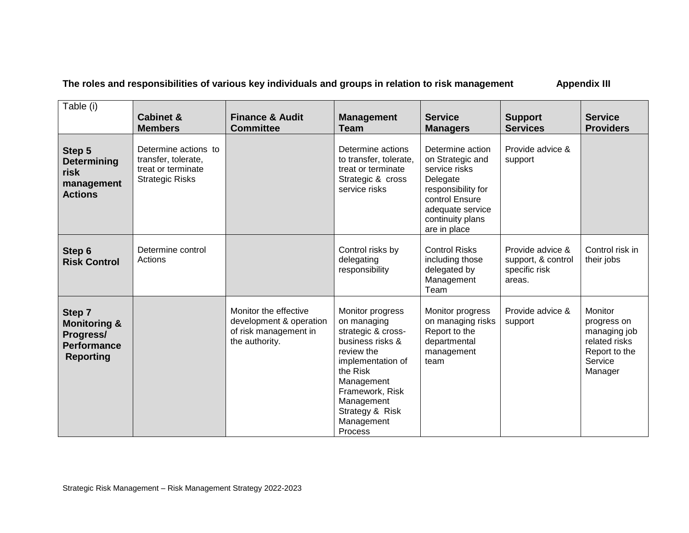The roles and responsibilities of various key individuals and groups in relation to risk management **Appendix III** 

| Table (i)                                                                                | <b>Cabinet &amp;</b><br><b>Members</b>                                                      | <b>Finance &amp; Audit</b><br><b>Committee</b>                                              | <b>Management</b><br><b>Team</b>                                                                                                                                                                                    | <b>Service</b><br><b>Managers</b>                                                                                                                                 | <b>Support</b><br><b>Services</b>                                 | <b>Service</b><br><b>Providers</b>                                                             |
|------------------------------------------------------------------------------------------|---------------------------------------------------------------------------------------------|---------------------------------------------------------------------------------------------|---------------------------------------------------------------------------------------------------------------------------------------------------------------------------------------------------------------------|-------------------------------------------------------------------------------------------------------------------------------------------------------------------|-------------------------------------------------------------------|------------------------------------------------------------------------------------------------|
| Step 5<br><b>Determining</b><br>risk<br>management<br><b>Actions</b>                     | Determine actions to<br>transfer, tolerate,<br>treat or terminate<br><b>Strategic Risks</b> |                                                                                             | Determine actions<br>to transfer, tolerate,<br>treat or terminate<br>Strategic & cross<br>service risks                                                                                                             | Determine action<br>on Strategic and<br>service risks<br>Delegate<br>responsibility for<br>control Ensure<br>adequate service<br>continuity plans<br>are in place | Provide advice &<br>support                                       |                                                                                                |
| Step 6<br><b>Risk Control</b>                                                            | Determine control<br>Actions                                                                |                                                                                             | Control risks by<br>delegating<br>responsibility                                                                                                                                                                    | <b>Control Risks</b><br>including those<br>delegated by<br>Management<br>Team                                                                                     | Provide advice &<br>support, & control<br>specific risk<br>areas. | Control risk in<br>their jobs                                                                  |
| Step 7<br><b>Monitoring &amp;</b><br>Progress/<br><b>Performance</b><br><b>Reporting</b> |                                                                                             | Monitor the effective<br>development & operation<br>of risk management in<br>the authority. | Monitor progress<br>on managing<br>strategic & cross-<br>business risks &<br>review the<br>implementation of<br>the Risk<br>Management<br>Framework, Risk<br>Management<br>Strategy & Risk<br>Management<br>Process | Monitor progress<br>on managing risks<br>Report to the<br>departmental<br>management<br>team                                                                      | Provide advice &<br>support                                       | Monitor<br>progress on<br>managing job<br>related risks<br>Report to the<br>Service<br>Manager |